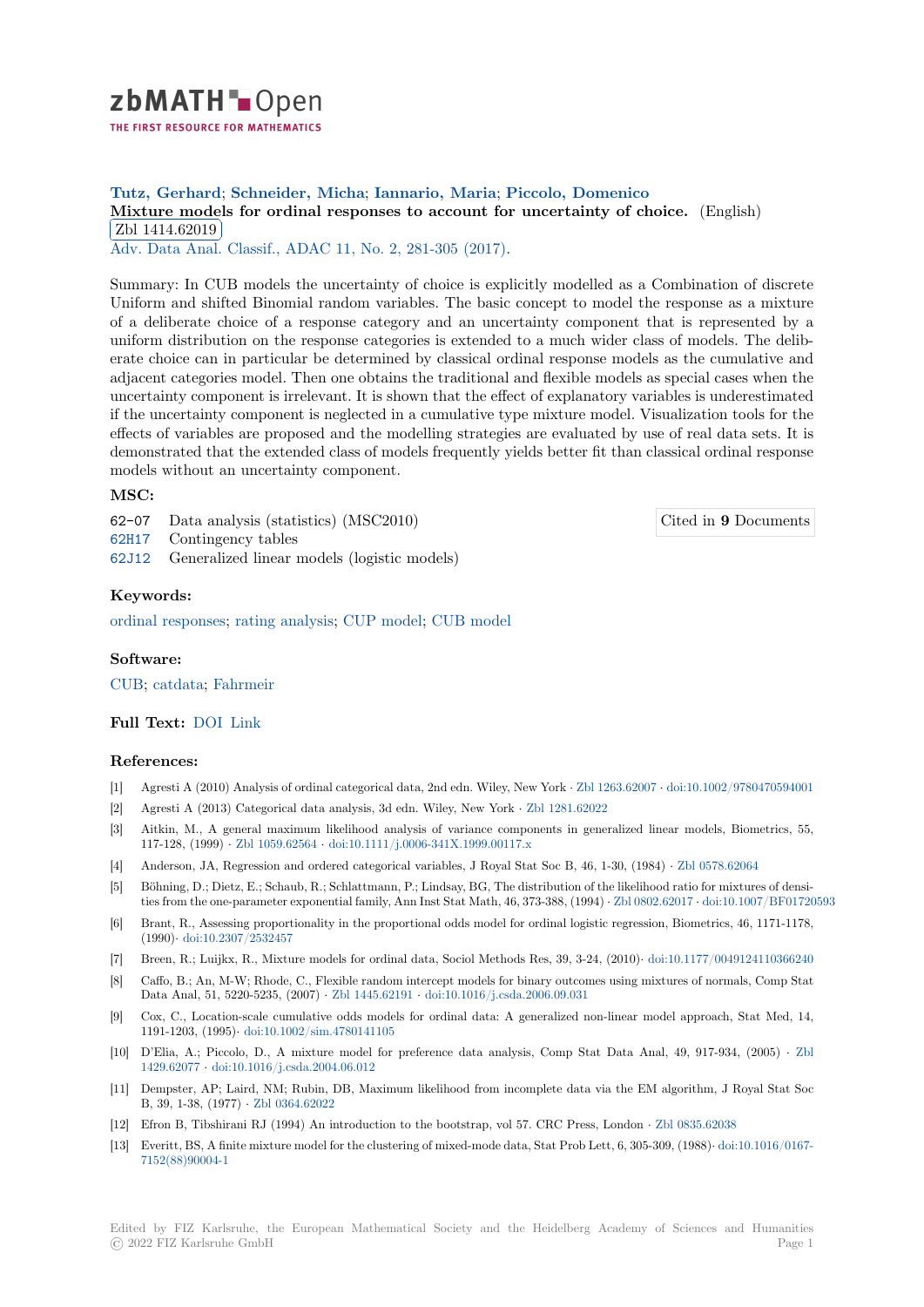

# **Tutz, Gerhard**; **Schneider, Micha**; **Iannario, Maria**; **Piccolo, Domenico**

[M](https://zbmath.org/)ixture models for ordinal responses to account for uncertainty of choice. (English) Zbl 1414.62019

Adv. Data Anal. Classif., ADAC 11, No. 2, 281-305 (2017).

[Summary: In CUB models the uncertainty of choice is explicitly modelled as a Comb](https://zbmath.org/1414.62019)ination of discrete [Uniform and shift](https://zbmath.org/1414.62019)ed Binomial random variables. The basic concept to model the response as a mixture [of a deliberate choice of a respo](https://zbmath.org/journals/?q=se:4917)[nse category and an unc](https://zbmath.org/?q=in:366830)ertainty component that is represented by a uniform distribution on the response categories is extended to a much wider class of models. The deliberate choice can in particular be determined by classical ordinal response models as the cumulative and adjacent categories model. Then one obtains the traditional and flexible models as special cases when the uncertainty component is irrelevant. It is shown that the effect of explanatory variables is underestimated if the uncertainty component is neglected in a cumulative type mixture model. Visualization tools for the effects of variables are proposed and the modelling strategies are evaluated by use of real data sets. It is demonstrated that the extended class of models frequently yields better fit than classical ordinal response models without an uncertainty component.

## **MSC:**

62-07 Data analysis (statistics) (MSC2010)

62H17 Contingency tables

62J12 Generalized linear models (logistic models)

### **Keywords:**

[ordina](https://zbmath.org/classification/?q=cc:62H17)l responses; rating analysis; CUP model; CUB model

#### **Software:**

CUB; [catdata;](https://zbmath.org/?q=ut:ordinal+responses) Fa[hrmeir](https://zbmath.org/?q=ut:rating+analysis)

## **Full Text:** DOI Link

#### **[Refe](https://swmath.org/software/17717)r[ences:](https://swmath.org/software/27750)**

- [1] Agresti A (2010) Analysis of ordinal categorical data, 2nd edn. Wiley, New York *·* Zbl 1263.62007 *·* doi:10.1002/9780470594001
- [2] Agresti A [\(2013](https://dx.doi.org/10.1007/s11634-016-0247-9)[\) Cate](https://epub.ub.uni-muenchen.de/22185/1/tr175.pdf)gorical data analysis, 3d edn. Wiley, New York *·* Zbl 1281.62022
- [3] Aitkin, M., A general maximum likelihood analysis of variance components in generalized linear models, Biometrics, 55, 117-128, (1999) *·* Zbl 1059.62564 *·* doi:10.1111/j.0006-341X.1999.00117.x
- [4] Anderson, JA, Regression and ordered categorical variables, J Royal Stat Soc B, [46, 1-30, \(1984](https://zbmath.org/1263.62007)) *·* [Zbl 0578.62064](https://dx.doi.org/10.1002/9780470594001)
- [5] Böhning, D.; Dietz, E.; Schaub, R.; Schlattmann, P.; Lindsay, BG, Thed[istribution of th](https://zbmath.org/1281.62022)e likelihood ratio for mixtures of densities from the one-parameter exponential family, Ann Inst Stat Math, 46, 373-388, (1994) *·* Zbl 0802.62017 *·* doi:10.1007/BF01720593
- [6] Brant, R., Assess[ing proportiona](https://zbmath.org/1059.62564)lit[y in the proportional odds model for o](https://dx.doi.org/10.1111/j.0006-341X.1999.00117.x)rdinal logistic regression, Biometrics, 46, 1171-1178, (1990)*·* doi:10.2307/2532457
- [7] Breen, R.; Luijkx, R., Mixture models for ordinal data, Sociol Methods Res, 39, 3-24, (2010)*·* doi:10.1177/0049124110366240
- [8] Caffo, B.; An, M-W; Rhode, C., Flexible random intercept models for binary outcomes [using mixtures o](https://zbmath.org/0802.62017)f [normals, Comp Stat](https://dx.doi.org/10.1007/BF01720593) Data Anal, 51, 5220-5235, (2007) *·* Zbl 1445.62191 *·* doi:10.1016/j.csda.2006.09.031
- [9] Cox, C.[, Location-scale cum](https://dx.doi.org/10.2307/2532457)ulative odds models for ordinal data: A generalized non-linear model approach, Stat Med, 14, 1191-1203, (1995)*·* doi:10.1002/sim.4780141105
- [10] D'Elia, A.; Piccolo, D., A mixture model for preference data analysis, Comp Stat Data Anal, 49, 917-934, (2005) *·* Zbl 1429.62077 *·* doi:10.1016/j.csda.200[4.06.012](https://zbmath.org/1445.62191)
- [11] Dempster, AP; Laird, NM; Rubin, DB, Maximum likelihood from incomplete data via the EM algorithm, J Royal Stat Soc B, 39, 1-38, (1977) *·* [Zbl 0364.62022](https://dx.doi.org/10.1002/sim.4780141105)
- [12] Efron B, Tibshirani RJ (1994) An introduction to the bootstrap, vol 57. CRC Press, London *·* Zbl 0835.62038
- [13] [Everitt, BS](https://zbmath.org/1429.62077), [A finite mixture model for the cl](https://dx.doi.org/10.1016/j.csda.2004.06.012)ustering of mixed-mode data, Stat Prob Lett, 6, 305-309, (1988)*·* doi:10.1016/0167- 7152(88)90004-1

Edited by FIZ Karlsruhe, the European Mathematical Society and the Heidelberg Academy of Sciences [and Humanities](https://dx.doi.org/10.1016/0167-7152(88)90004-1) © 20[22 FIZ Karlsruh](https://dx.doi.org/10.1016/0167-7152(88)90004-1)e GmbH Page 1

Cited in **9** Documents